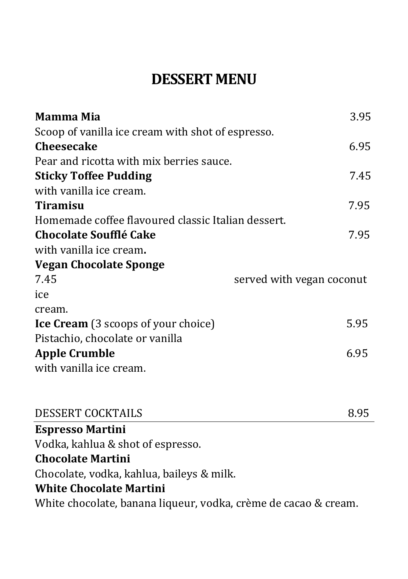## **DESSERT MENU**

| Mamma Mia                                          | 3.95                      |
|----------------------------------------------------|---------------------------|
| Scoop of vanilla ice cream with shot of espresso.  |                           |
| <b>Cheesecake</b>                                  | 6.95                      |
| Pear and ricotta with mix berries sauce.           |                           |
| <b>Sticky Toffee Pudding</b>                       | 7.45                      |
| with vanilla ice cream.                            |                           |
| <b>Tiramisu</b>                                    | 7.95                      |
| Homemade coffee flavoured classic Italian dessert. |                           |
| <b>Chocolate Soufflé Cake</b>                      | 7.95                      |
| with vanilla ice cream.                            |                           |
| <b>Vegan Chocolate Sponge</b>                      |                           |
| 7.45                                               | served with vegan coconut |
| ice                                                |                           |
| cream.                                             |                           |
| <b>Ice Cream</b> (3 scoops of your choice)         | 5.95                      |
| Pistachio, chocolate or vanilla                    |                           |
| <b>Apple Crumble</b>                               | 6.95                      |
| with vanilla ice cream.                            |                           |
| <b>BRACHBE COAIM</b>                               | $\sim$ $\sim$             |

| DESSERT COCKTAILS                                               | 8.95 |
|-----------------------------------------------------------------|------|
| <b>Espresso Martini</b>                                         |      |
| Vodka, kahlua & shot of espresso.                               |      |
| <b>Chocolate Martini</b>                                        |      |
| Chocolate, vodka, kahlua, baileys & milk.                       |      |
| <b>White Chocolate Martini</b>                                  |      |
| White chocolate, banana liqueur, vodka, crème de cacao & cream. |      |